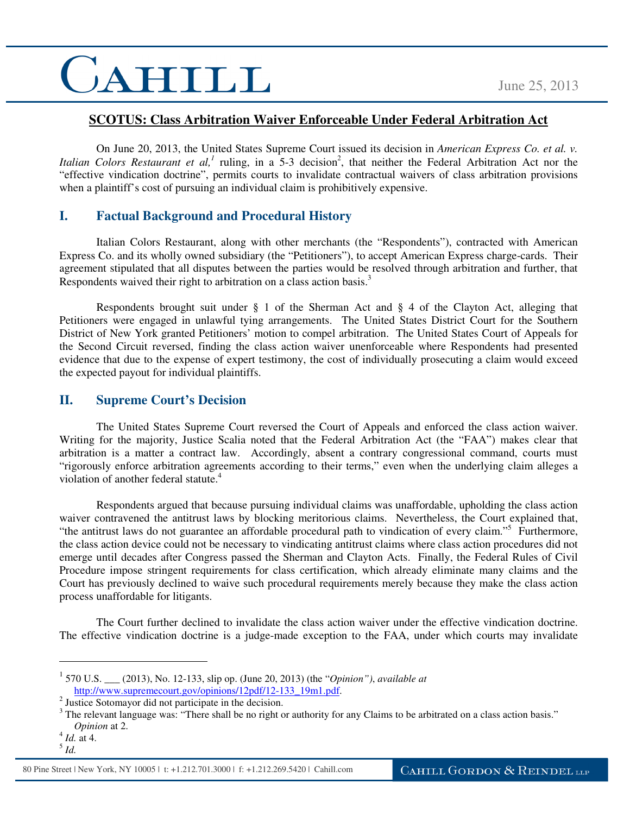## CAHILL

#### **SCOTUS: Class Arbitration Waiver Enforceable Under Federal Arbitration Act**

On June 20, 2013, the United States Supreme Court issued its decision in *American Express Co. et al. v.*  Italian Colors Restaurant et al,<sup>1</sup> ruling, in a 5-3 decision<sup>2</sup>, that neither the Federal Arbitration Act nor the "effective vindication doctrine", permits courts to invalidate contractual waivers of class arbitration provisions when a plaintiff's cost of pursuing an individual claim is prohibitively expensive.

### **I. Factual Background and Procedural History**

Italian Colors Restaurant, along with other merchants (the "Respondents"), contracted with American Express Co. and its wholly owned subsidiary (the "Petitioners"), to accept American Express charge-cards. Their agreement stipulated that all disputes between the parties would be resolved through arbitration and further, that Respondents waived their right to arbitration on a class action basis.<sup>3</sup>

Respondents brought suit under  $\S$  1 of the Sherman Act and  $\S$  4 of the Clayton Act, alleging that Petitioners were engaged in unlawful tying arrangements. The United States District Court for the Southern District of New York granted Petitioners' motion to compel arbitration. The United States Court of Appeals for the Second Circuit reversed, finding the class action waiver unenforceable where Respondents had presented evidence that due to the expense of expert testimony, the cost of individually prosecuting a claim would exceed the expected payout for individual plaintiffs.

#### **II. Supreme Court's Decision**

The United States Supreme Court reversed the Court of Appeals and enforced the class action waiver. Writing for the majority, Justice Scalia noted that the Federal Arbitration Act (the "FAA") makes clear that arbitration is a matter a contract law. Accordingly, absent a contrary congressional command, courts must "rigorously enforce arbitration agreements according to their terms," even when the underlying claim alleges a violation of another federal statute.<sup>4</sup>

Respondents argued that because pursuing individual claims was unaffordable, upholding the class action waiver contravened the antitrust laws by blocking meritorious claims. Nevertheless, the Court explained that, "the antitrust laws do not guarantee an affordable procedural path to vindication of every claim."<sup>5</sup> Furthermore, the class action device could not be necessary to vindicating antitrust claims where class action procedures did not emerge until decades after Congress passed the Sherman and Clayton Acts. Finally, the Federal Rules of Civil Procedure impose stringent requirements for class certification, which already eliminate many claims and the Court has previously declined to waive such procedural requirements merely because they make the class action process unaffordable for litigants.

The Court further declined to invalidate the class action waiver under the effective vindication doctrine. The effective vindication doctrine is a judge-made exception to the FAA, under which courts may invalidate

 $\overline{a}$ 

<sup>1</sup> 570 U.S. \_\_\_ (2013), No. 12-133, slip op. (June 20, 2013) (the "*Opinion")*, *available at* http://www.supremecourt.gov/opinions/12pdf/12-133\_19m1.pdf.

<sup>2</sup> Justice Sotomayor did not participate in the decision.

 $3$  The relevant language was: "There shall be no right or authority for any Claims to be arbitrated on a class action basis." *Opinion* at 2.

<sup>4</sup> *Id.* at 4.

<sup>5</sup> *Id.* 

<sup>80</sup> Pine Street | New York, NY 10005 | t: +1.212.701.3000 | f: +1.212.269.5420 | Cahill.com